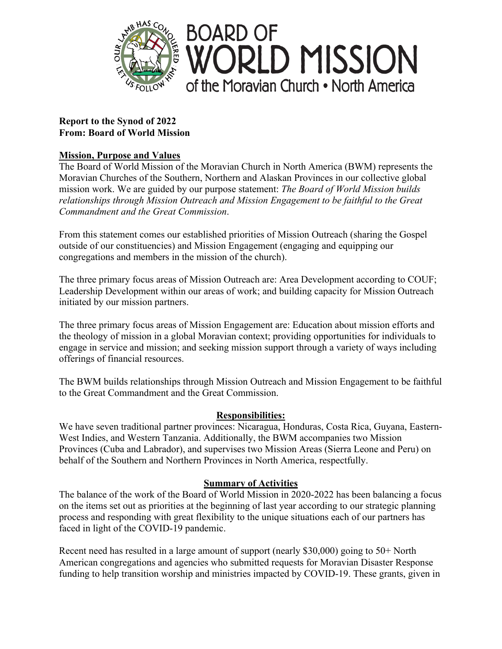

# **Report to the Synod of 2022 From: Board of World Mission**

# **Mission, Purpose and Values**

The Board of World Mission of the Moravian Church in North America (BWM) represents the Moravian Churches of the Southern, Northern and Alaskan Provinces in our collective global mission work. We are guided by our purpose statement: *The Board of World Mission builds relationships through Mission Outreach and Mission Engagement to be faithful to the Great Commandment and the Great Commission*.

From this statement comes our established priorities of Mission Outreach (sharing the Gospel outside of our constituencies) and Mission Engagement (engaging and equipping our congregations and members in the mission of the church).

The three primary focus areas of Mission Outreach are: Area Development according to COUF; Leadership Development within our areas of work; and building capacity for Mission Outreach initiated by our mission partners.

The three primary focus areas of Mission Engagement are: Education about mission efforts and the theology of mission in a global Moravian context; providing opportunities for individuals to engage in service and mission; and seeking mission support through a variety of ways including offerings of financial resources.

The BWM builds relationships through Mission Outreach and Mission Engagement to be faithful to the Great Commandment and the Great Commission.

# **Responsibilities:**

We have seven traditional partner provinces: Nicaragua, Honduras, Costa Rica, Guyana, Eastern-West Indies, and Western Tanzania. Additionally, the BWM accompanies two Mission Provinces (Cuba and Labrador), and supervises two Mission Areas (Sierra Leone and Peru) on behalf of the Southern and Northern Provinces in North America, respectfully.

# **Summary of Activities**

The balance of the work of the Board of World Mission in 2020-2022 has been balancing a focus on the items set out as priorities at the beginning of last year according to our strategic planning process and responding with great flexibility to the unique situations each of our partners has faced in light of the COVID-19 pandemic.

Recent need has resulted in a large amount of support (nearly \$30,000) going to 50+ North American congregations and agencies who submitted requests for Moravian Disaster Response funding to help transition worship and ministries impacted by COVID-19. These grants, given in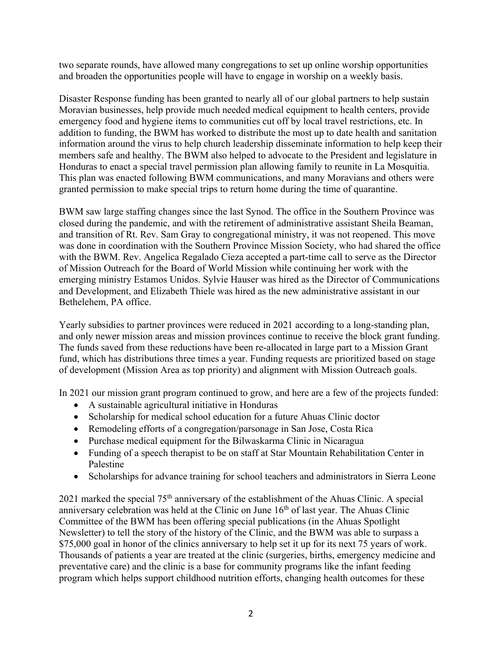two separate rounds, have allowed many congregations to set up online worship opportunities and broaden the opportunities people will have to engage in worship on a weekly basis.

Disaster Response funding has been granted to nearly all of our global partners to help sustain Moravian businesses, help provide much needed medical equipment to health centers, provide emergency food and hygiene items to communities cut off by local travel restrictions, etc. In addition to funding, the BWM has worked to distribute the most up to date health and sanitation information around the virus to help church leadership disseminate information to help keep their members safe and healthy. The BWM also helped to advocate to the President and legislature in Honduras to enact a special travel permission plan allowing family to reunite in La Mosquitia. This plan was enacted following BWM communications, and many Moravians and others were granted permission to make special trips to return home during the time of quarantine.

BWM saw large staffing changes since the last Synod. The office in the Southern Province was closed during the pandemic, and with the retirement of administrative assistant Sheila Beaman, and transition of Rt. Rev. Sam Gray to congregational ministry, it was not reopened. This move was done in coordination with the Southern Province Mission Society, who had shared the office with the BWM. Rev. Angelica Regalado Cieza accepted a part-time call to serve as the Director of Mission Outreach for the Board of World Mission while continuing her work with the emerging ministry Estamos Unidos. Sylvie Hauser was hired as the Director of Communications and Development, and Elizabeth Thiele was hired as the new administrative assistant in our Bethelehem, PA office.

Yearly subsidies to partner provinces were reduced in 2021 according to a long-standing plan, and only newer mission areas and mission provinces continue to receive the block grant funding. The funds saved from these reductions have been re-allocated in large part to a Mission Grant fund, which has distributions three times a year. Funding requests are prioritized based on stage of development (Mission Area as top priority) and alignment with Mission Outreach goals.

In 2021 our mission grant program continued to grow, and here are a few of the projects funded:

- A sustainable agricultural initiative in Honduras
- Scholarship for medical school education for a future Ahuas Clinic doctor
- Remodeling efforts of a congregation/parsonage in San Jose, Costa Rica
- Purchase medical equipment for the Bilwaskarma Clinic in Nicaragua
- Funding of a speech therapist to be on staff at Star Mountain Rehabilitation Center in Palestine
- Scholarships for advance training for school teachers and administrators in Sierra Leone

2021 marked the special  $75<sup>th</sup>$  anniversary of the establishment of the Ahuas Clinic. A special anniversary celebration was held at the Clinic on June 16<sup>th</sup> of last year. The Ahuas Clinic Committee of the BWM has been offering special publications (in the Ahuas Spotlight Newsletter) to tell the story of the history of the Clinic, and the BWM was able to surpass a \$75,000 goal in honor of the clinics anniversary to help set it up for its next 75 years of work. Thousands of patients a year are treated at the clinic (surgeries, births, emergency medicine and preventative care) and the clinic is a base for community programs like the infant feeding program which helps support childhood nutrition efforts, changing health outcomes for these